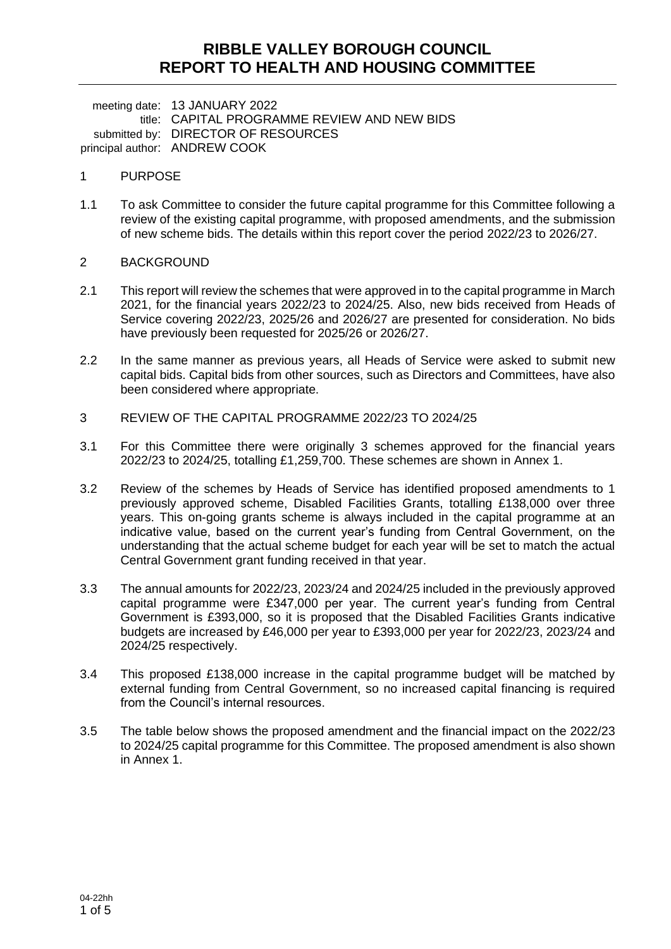## **RIBBLE VALLEY BOROUGH COUNCIL REPORT TO HEALTH AND HOUSING COMMITTEE**

meeting date: 13 JANUARY 2022 title: CAPITAL PROGRAMME REVIEW AND NEW BIDS submitted by: DIRECTOR OF RESOURCES principal author: ANDREW COOK

### 1 PURPOSE

1.1 To ask Committee to consider the future capital programme for this Committee following a review of the existing capital programme, with proposed amendments, and the submission of new scheme bids. The details within this report cover the period 2022/23 to 2026/27.

### 2 BACKGROUND

- 2.1 This report will review the schemes that were approved in to the capital programme in March 2021, for the financial years 2022/23 to 2024/25. Also, new bids received from Heads of Service covering 2022/23, 2025/26 and 2026/27 are presented for consideration. No bids have previously been requested for 2025/26 or 2026/27.
- 2.2 In the same manner as previous years, all Heads of Service were asked to submit new capital bids. Capital bids from other sources, such as Directors and Committees, have also been considered where appropriate.
- 3 REVIEW OF THE CAPITAL PROGRAMME 2022/23 TO 2024/25
- 3.1 For this Committee there were originally 3 schemes approved for the financial years 2022/23 to 2024/25, totalling £1,259,700. These schemes are shown in Annex 1.
- 3.2 Review of the schemes by Heads of Service has identified proposed amendments to 1 previously approved scheme, Disabled Facilities Grants, totalling £138,000 over three years. This on-going grants scheme is always included in the capital programme at an indicative value, based on the current year's funding from Central Government, on the understanding that the actual scheme budget for each year will be set to match the actual Central Government grant funding received in that year.
- 3.3 The annual amounts for 2022/23, 2023/24 and 2024/25 included in the previously approved capital programme were £347,000 per year. The current year's funding from Central Government is £393,000, so it is proposed that the Disabled Facilities Grants indicative budgets are increased by £46,000 per year to £393,000 per year for 2022/23, 2023/24 and 2024/25 respectively.
- 3.4 This proposed £138,000 increase in the capital programme budget will be matched by external funding from Central Government, so no increased capital financing is required from the Council's internal resources.
- 3.5 The table below shows the proposed amendment and the financial impact on the 2022/23 to 2024/25 capital programme for this Committee. The proposed amendment is also shown in Annex 1.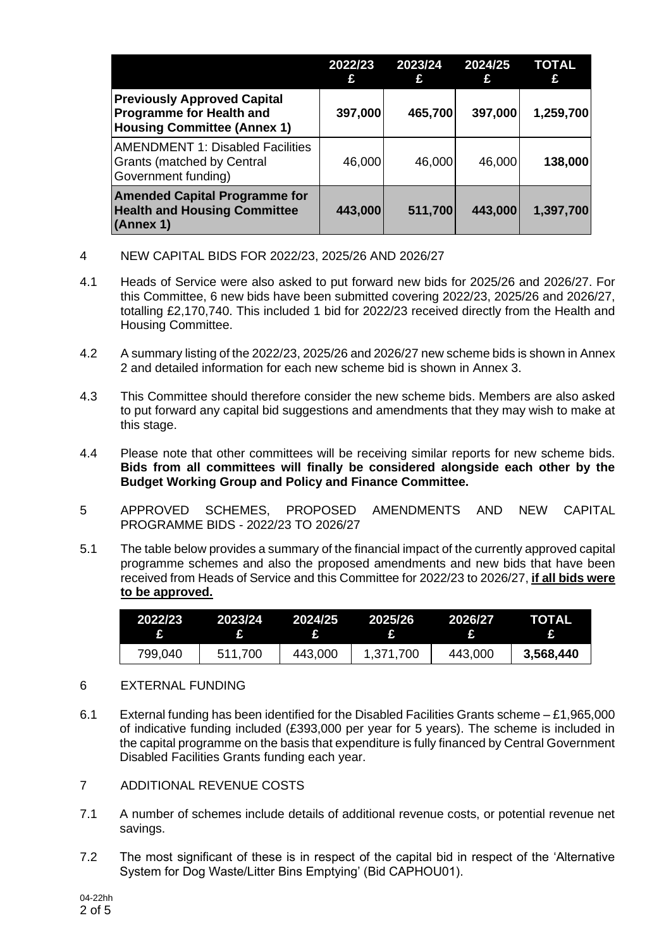|                                                                                                             | 2022/23<br>£ | 2023/24<br>£ | 2024/25<br>£ | <b>TOTAL</b> |
|-------------------------------------------------------------------------------------------------------------|--------------|--------------|--------------|--------------|
| <b>Previously Approved Capital</b><br><b>Programme for Health and</b><br><b>Housing Committee (Annex 1)</b> | 397,000      | 465,700      | 397,000      | 1,259,700    |
| <b>AMENDMENT 1: Disabled Facilities</b><br><b>Grants (matched by Central</b><br>Government funding)         | 46,000       | 46,000       | 46,000       | 138,000      |
| <b>Amended Capital Programme for</b><br><b>Health and Housing Committee</b><br>(Annex 1)                    | 443,000      | 511,700      | 443,000      | 1,397,700    |

- 4 NEW CAPITAL BIDS FOR 2022/23, 2025/26 AND 2026/27
- 4.1 Heads of Service were also asked to put forward new bids for 2025/26 and 2026/27. For this Committee, 6 new bids have been submitted covering 2022/23, 2025/26 and 2026/27, totalling £2,170,740. This included 1 bid for 2022/23 received directly from the Health and Housing Committee.
- 4.2 A summary listing of the 2022/23, 2025/26 and 2026/27 new scheme bids is shown in Annex 2 and detailed information for each new scheme bid is shown in Annex 3.
- 4.3 This Committee should therefore consider the new scheme bids. Members are also asked to put forward any capital bid suggestions and amendments that they may wish to make at this stage.
- 4.4 Please note that other committees will be receiving similar reports for new scheme bids. **Bids from all committees will finally be considered alongside each other by the Budget Working Group and Policy and Finance Committee.**
- 5 APPROVED SCHEMES, PROPOSED AMENDMENTS AND NEW CAPITAL PROGRAMME BIDS - 2022/23 TO 2026/27
- 5.1 The table below provides a summary of the financial impact of the currently approved capital programme schemes and also the proposed amendments and new bids that have been received from Heads of Service and this Committee for 2022/23 to 2026/27, **if all bids were to be approved.**

| 2022/23 | .2023/24           | .2024/25 | 2025/26      | 2026/27 | TOTAL        |
|---------|--------------------|----------|--------------|---------|--------------|
|         | <b>All Dealers</b> |          | $\mathbf{F}$ |         | $\mathbf{E}$ |
| 799,040 | 511,700            | 443,000  | 1,371,700    | 443,000 | 3,568,440    |

### 6 EXTERNAL FUNDING

- 6.1 External funding has been identified for the Disabled Facilities Grants scheme £1,965,000 of indicative funding included (£393,000 per year for 5 years). The scheme is included in the capital programme on the basis that expenditure is fully financed by Central Government Disabled Facilities Grants funding each year.
- 7 ADDITIONAL REVENUE COSTS
- 7.1 A number of schemes include details of additional revenue costs, or potential revenue net savings.
- 7.2 The most significant of these is in respect of the capital bid in respect of the 'Alternative System for Dog Waste/Litter Bins Emptying' (Bid CAPHOU01).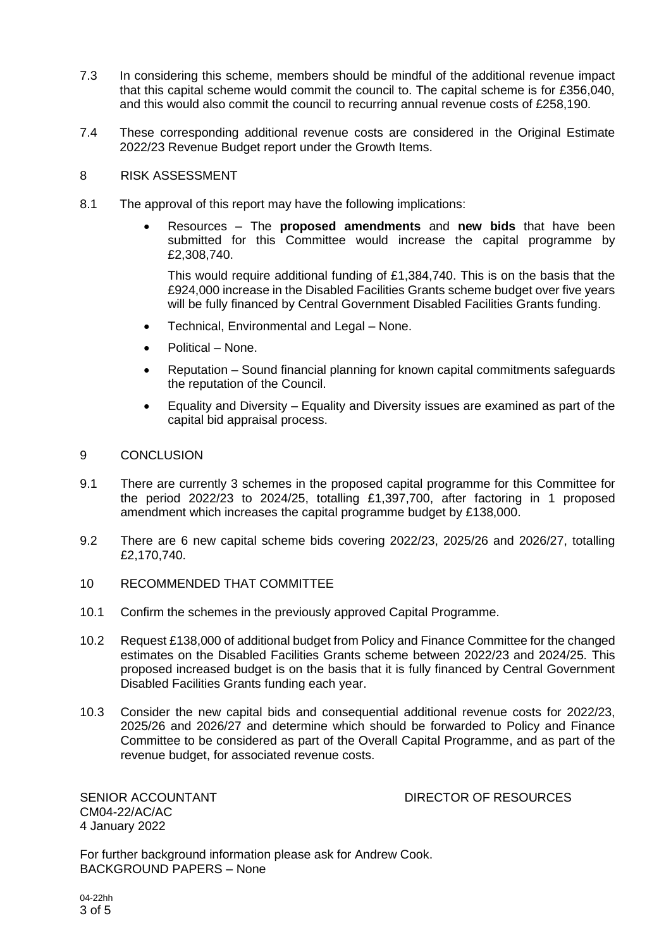- 7.3 In considering this scheme, members should be mindful of the additional revenue impact that this capital scheme would commit the council to. The capital scheme is for £356,040, and this would also commit the council to recurring annual revenue costs of £258,190.
- 7.4 These corresponding additional revenue costs are considered in the Original Estimate 2022/23 Revenue Budget report under the Growth Items.
- 8 RISK ASSESSMENT
- 8.1 The approval of this report may have the following implications:
	- Resources The **proposed amendments** and **new bids** that have been submitted for this Committee would increase the capital programme by £2,308,740.

This would require additional funding of £1,384,740. This is on the basis that the £924,000 increase in the Disabled Facilities Grants scheme budget over five years will be fully financed by Central Government Disabled Facilities Grants funding.

- Technical, Environmental and Legal None.
- Political None.
- Reputation Sound financial planning for known capital commitments safeguards the reputation of the Council.
- Equality and Diversity Equality and Diversity issues are examined as part of the capital bid appraisal process.

### 9 CONCLUSION

- 9.1 There are currently 3 schemes in the proposed capital programme for this Committee for the period 2022/23 to 2024/25, totalling £1,397,700, after factoring in 1 proposed amendment which increases the capital programme budget by £138,000.
- 9.2 There are 6 new capital scheme bids covering 2022/23, 2025/26 and 2026/27, totalling £2,170,740.
- 10 RECOMMENDED THAT COMMITTEE
- 10.1 Confirm the schemes in the previously approved Capital Programme.
- 10.2 Request £138,000 of additional budget from Policy and Finance Committee for the changed estimates on the Disabled Facilities Grants scheme between 2022/23 and 2024/25. This proposed increased budget is on the basis that it is fully financed by Central Government Disabled Facilities Grants funding each year.
- 10.3 Consider the new capital bids and consequential additional revenue costs for 2022/23, 2025/26 and 2026/27 and determine which should be forwarded to Policy and Finance Committee to be considered as part of the Overall Capital Programme, and as part of the revenue budget, for associated revenue costs.

CM04-22/AC/AC 4 January 2022

SENIOR ACCOUNTANT **Example 20 SENIOR ACCOUNTANT** 

For further background information please ask for Andrew Cook. BACKGROUND PAPERS – None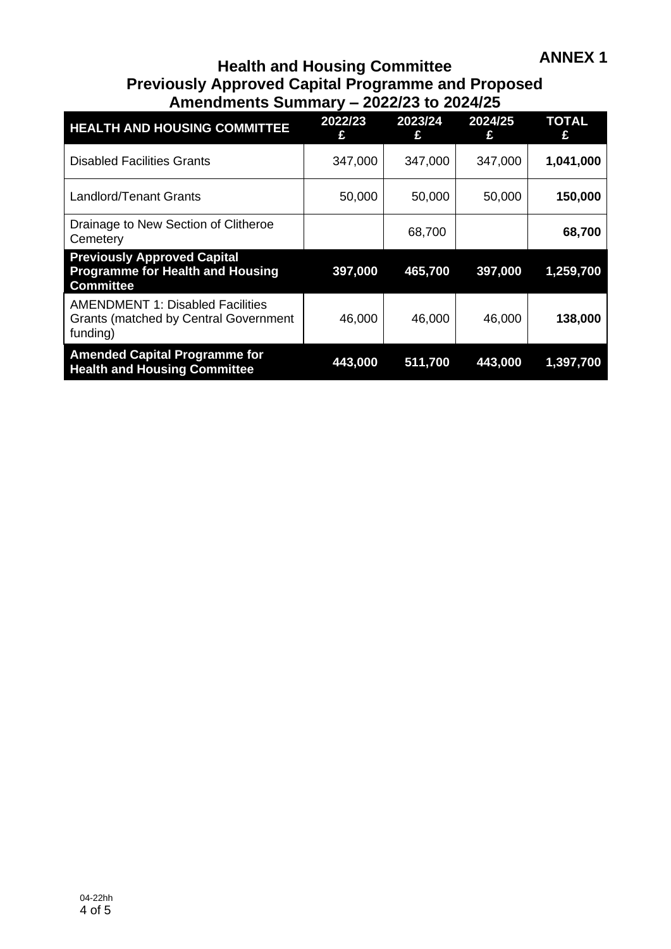## **Health and Housing Committee Previously Approved Capital Programme and Proposed Amendments Summary – 2022/23 to 2024/25**

| <b>HEALTH AND HOUSING COMMITTEE</b>                                                                 | 2022/23<br>£ | 2023/24<br>£ | 2024/25<br>£ | <b>TOTAL</b> |
|-----------------------------------------------------------------------------------------------------|--------------|--------------|--------------|--------------|
| <b>Disabled Facilities Grants</b>                                                                   | 347,000      | 347,000      | 347,000      | 1,041,000    |
| Landlord/Tenant Grants                                                                              | 50,000       | 50,000       | 50,000       | 150,000      |
| Drainage to New Section of Clitheroe<br>Cemetery                                                    |              | 68,700       |              | 68,700       |
| <b>Previously Approved Capital</b><br><b>Programme for Health and Housing</b><br><b>Committee</b>   | 397,000      | 465,700      | 397,000      | 1,259,700    |
| <b>AMENDMENT 1: Disabled Facilities</b><br><b>Grants (matched by Central Government</b><br>funding) | 46,000       | 46,000       | 46,000       | 138,000      |
| <b>Amended Capital Programme for</b><br><b>Health and Housing Committee</b>                         | 443,000      | 511,700      | 443,000      | 1,397,700    |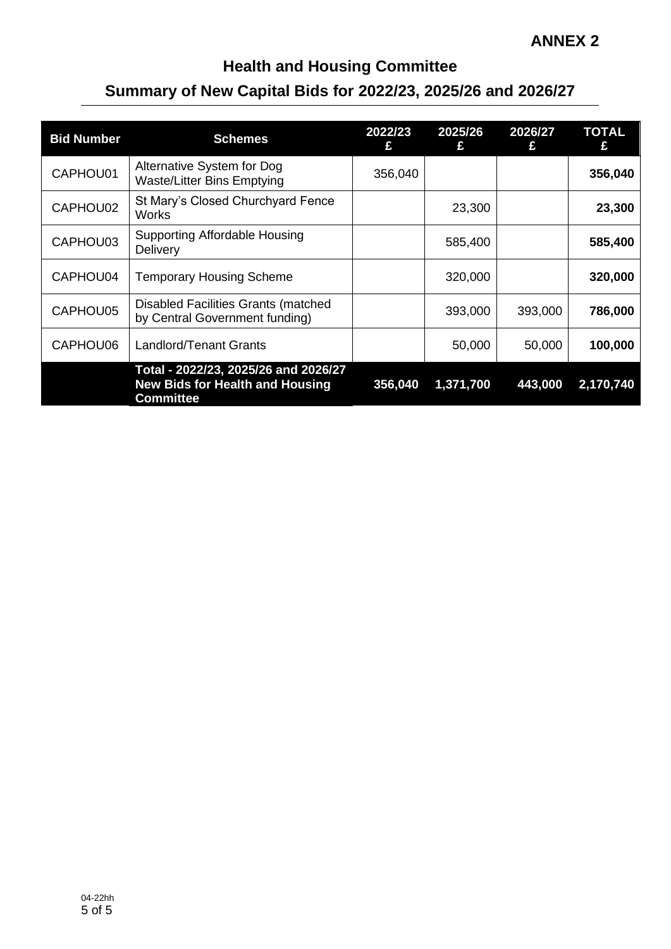## **Health and Housing Committee Summary of New Capital Bids for 2022/23, 2025/26 and 2026/27**

| <b>Bid Number</b> | <b>Schemes</b>                                                                                     | 2022/23<br>£ | 2025/26<br>£ | 2026/27<br>£ | <b>TOTAL</b><br>£ |
|-------------------|----------------------------------------------------------------------------------------------------|--------------|--------------|--------------|-------------------|
| CAPHOU01          | Alternative System for Dog<br><b>Waste/Litter Bins Emptying</b>                                    | 356,040      |              |              | 356,040           |
| CAPHOU02          | St Mary's Closed Churchyard Fence<br><b>Works</b>                                                  |              | 23,300       |              | 23,300            |
| CAPHOU03          | <b>Supporting Affordable Housing</b><br>Delivery                                                   |              | 585,400      |              | 585,400           |
| CAPHOU04          | <b>Temporary Housing Scheme</b>                                                                    |              | 320,000      |              | 320,000           |
| CAPHOU05          | <b>Disabled Facilities Grants (matched</b><br>by Central Government funding)                       |              | 393,000      | 393,000      | 786,000           |
| CAPHOU06          | <b>Landlord/Tenant Grants</b>                                                                      |              | 50,000       | 50,000       | 100,000           |
|                   | Total - 2022/23, 2025/26 and 2026/27<br><b>New Bids for Health and Housing</b><br><b>Committee</b> | 356,040      | 1,371,700    | 443,000      | 2,170,740         |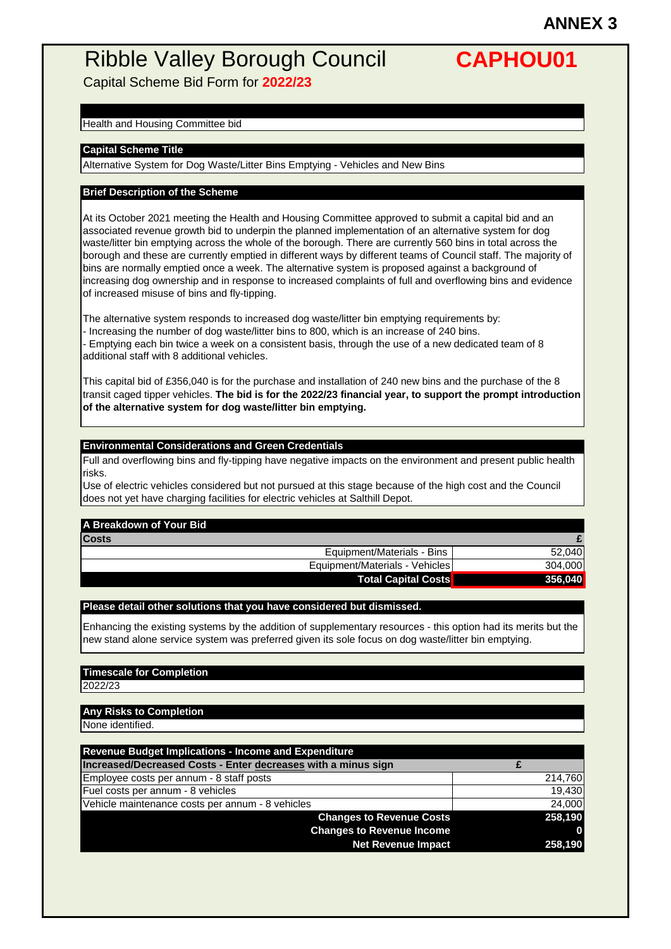Capital Scheme Bid Form for **2022/23**

#### Health and Housing Committee bid

#### **Capital Scheme Title**

Alternative System for Dog Waste/Litter Bins Emptying - Vehicles and New Bins

#### **Brief Description of the Scheme**

At its October 2021 meeting the Health and Housing Committee approved to submit a capital bid and an associated revenue growth bid to underpin the planned implementation of an alternative system for dog waste/litter bin emptying across the whole of the borough. There are currently 560 bins in total across the borough and these are currently emptied in different ways by different teams of Council staff. The majority of bins are normally emptied once a week. The alternative system is proposed against a background of increasing dog ownership and in response to increased complaints of full and overflowing bins and evidence of increased misuse of bins and fly-tipping.

The alternative system responds to increased dog waste/litter bin emptying requirements by:

- Increasing the number of dog waste/litter bins to 800, which is an increase of 240 bins.

- Emptying each bin twice a week on a consistent basis, through the use of a new dedicated team of 8 additional staff with 8 additional vehicles.

This capital bid of £356,040 is for the purchase and installation of 240 new bins and the purchase of the 8 transit caged tipper vehicles. **The bid is for the 2022/23 financial year, to support the prompt introduction of the alternative system for dog waste/litter bin emptying.**

#### **Environmental Considerations and Green Credentials**

Full and overflowing bins and fly-tipping have negative impacts on the environment and present public health risks.

Use of electric vehicles considered but not pursued at this stage because of the high cost and the Council does not yet have charging facilities for electric vehicles at Salthill Depot.

### **A Breakdown of Your Bid**

| <b>Costs</b>                   |         |
|--------------------------------|---------|
| Equipment/Materials - Bins     | 52.040  |
| Equipment/Materials - Vehicles | 304,000 |
| <b>Total Capital Costs</b>     | 356,040 |

#### **Please detail other solutions that you have considered but dismissed.**

Enhancing the existing systems by the addition of supplementary resources - this option had its merits but the new stand alone service system was preferred given its sole focus on dog waste/litter bin emptying.

#### **Timescale for Completion**

2022/23

#### **Any Risks to Completion**

None identified.

| <b>Revenue Budget Implications - Income and Expenditure</b>   |          |
|---------------------------------------------------------------|----------|
| Increased/Decreased Costs - Enter decreases with a minus sign |          |
| Employee costs per annum - 8 staff posts                      | 214,760  |
| Fuel costs per annum - 8 vehicles                             | 19,430   |
| Vehicle maintenance costs per annum - 8 vehicles              | 24,000   |
| <b>Changes to Revenue Costs</b>                               | 258,190  |
| <b>Changes to Revenue Income</b>                              | $\bf{0}$ |
| <b>Net Revenue Impact</b>                                     | 258,190  |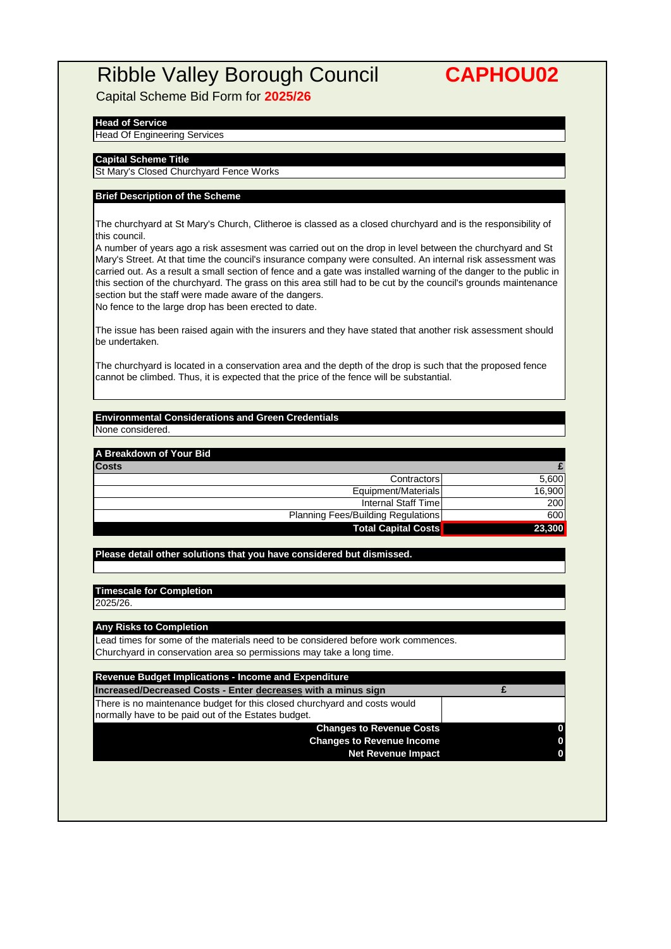Capital Scheme Bid Form for **2025/26**

#### **Head of Service**

#### Head Of Engineering Services

#### **Capital Scheme Title**

St Mary's Closed Churchyard Fence Works

#### **Brief Description of the Scheme**

The churchyard at St Mary's Church, Clitheroe is classed as a closed churchyard and is the responsibility of this council.

A number of years ago a risk assesment was carried out on the drop in level between the churchyard and St Mary's Street. At that time the council's insurance company were consulted. An internal risk assessment was carried out. As a result a small section of fence and a gate was installed warning of the danger to the public in this section of the churchyard. The grass on this area still had to be cut by the council's grounds maintenance section but the staff were made aware of the dangers.

No fence to the large drop has been erected to date.

The issue has been raised again with the insurers and they have stated that another risk assessment should be undertaken.

The churchyard is located in a conservation area and the depth of the drop is such that the proposed fence cannot be climbed. Thus, it is expected that the price of the fence will be substantial.

#### **Environmental Considerations and Green Credentials** None considered.

#### **A Breakdown of Your Bid**

| Costs |                                           |        |
|-------|-------------------------------------------|--------|
|       | Contractors                               | 5.600  |
|       | Equipment/Materials                       | 16.900 |
|       | Internal Staff Time                       | 200    |
|       | <b>Planning Fees/Building Regulations</b> | 600    |
|       | <b>Total Capital Costs</b>                | 23,300 |
|       |                                           |        |

#### **Please detail other solutions that you have considered but dismissed.**

## **Timescale for Completion**

2025/26.

#### **Any Risks to Completion**

Lead times for some of the materials need to be considered before work commences. Churchyard in conservation area so permissions may take a long time.

| <b>Revenue Budget Implications - Income and Expenditure</b>                                                                      |  |
|----------------------------------------------------------------------------------------------------------------------------------|--|
| Increased/Decreased Costs - Enter decreases with a minus sign                                                                    |  |
| There is no maintenance budget for this closed churchyard and costs would<br>normally have to be paid out of the Estates budget. |  |
| <b>Changes to Revenue Costs</b>                                                                                                  |  |
| <b>Changes to Revenue Income</b>                                                                                                 |  |
| <b>Net Revenue Impact</b>                                                                                                        |  |
|                                                                                                                                  |  |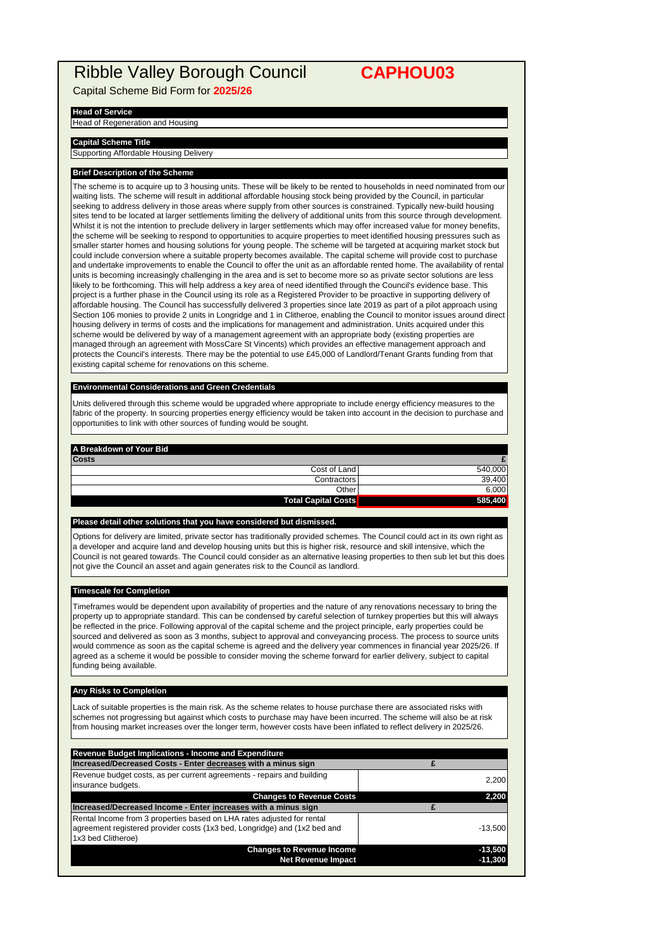Capital Scheme Bid Form for **2025/26**

#### **Head of Service**

Head of Regeneration and Housing

#### **Capital Scheme Title**

Supporting Affordable Housing Delivery

#### **Brief Description of the Scheme**

The scheme is to acquire up to 3 housing units. These will be likely to be rented to households in need nominated from our waiting lists. The scheme will result in additional affordable housing stock being provided by the Council, in particular seeking to address delivery in those areas where supply from other sources is constrained. Typically new-build housing sites tend to be located at larger settlements limiting the delivery of additional units from this source through development. Whilst it is not the intention to preclude delivery in larger settlements which may offer increased value for money benefits, the scheme will be seeking to respond to opportunities to acquire properties to meet identified housing pressures such as smaller starter homes and housing solutions for young people. The scheme will be targeted at acquiring market stock but could include conversion where a suitable property becomes available. The capital scheme will provide cost to purchase and undertake improvements to enable the Council to offer the unit as an affordable rented home. The availability of rental units is becoming increasingly challenging in the area and is set to become more so as private sector solutions are less likely to be forthcoming. This will help address a key area of need identified through the Council's evidence base. This project is a further phase in the Council using its role as a Registered Provider to be proactive in supporting delivery of affordable housing. The Council has successfully delivered 3 properties since late 2019 as part of a pilot approach using Section 106 monies to provide 2 units in Longridge and 1 in Clitheroe, enabling the Council to monitor issues around direct housing delivery in terms of costs and the implications for management and administration. Units acquired under this scheme would be delivered by way of a management agreement with an appropriate body (existing properties are managed through an agreement with MossCare St Vincents) which provides an effective management approach and protects the Council's interests. There may be the potential to use £45,000 of Landlord/Tenant Grants funding from that existing capital scheme for renovations on this scheme.

#### **Environmental Considerations and Green Credentials**

Units delivered through this scheme would be upgraded where appropriate to include energy efficiency measures to the fabric of the property. In sourcing properties energy efficiency would be taken into account in the decision to purchase and opportunities to link with other sources of funding would be sought.

#### **A Breakdown of Your Bid**

| <b>Costs</b>               |         |
|----------------------------|---------|
| Cost of Land               | 540.000 |
| Contractors                | 39.400  |
| Other                      | 6.000   |
| <b>Total Capital Costs</b> | 585,400 |

#### **Please detail other solutions that you have considered but dismissed.**

Options for delivery are limited, private sector has traditionally provided schemes. The Council could act in its own right as a developer and acquire land and develop housing units but this is higher risk, resource and skill intensive, which the Council is not geared towards. The Council could consider as an alternative leasing properties to then sub let but this does not give the Council an asset and again generates risk to the Council as landlord.

#### **Timescale for Completion**

Timeframes would be dependent upon availability of properties and the nature of any renovations necessary to bring the property up to appropriate standard. This can be condensed by careful selection of turnkey properties but this will always be reflected in the price. Following approval of the capital scheme and the project principle, early properties could be sourced and delivered as soon as 3 months, subject to approval and conveyancing process. The process to source units would commence as soon as the capital scheme is agreed and the delivery year commences in financial year 2025/26. If agreed as a scheme it would be possible to consider moving the scheme forward for earlier delivery, subject to capital funding being available.

#### **Any Risks to Completion**

Lack of suitable properties is the main risk. As the scheme relates to house purchase there are associated risks with schemes not progressing but against which costs to purchase may have been incurred. The scheme will also be at risk from housing market increases over the longer term, however costs have been inflated to reflect delivery in 2025/26.

| <b>Revenue Budget Implications - Income and Expenditure</b>                                                                                                               |           |
|---------------------------------------------------------------------------------------------------------------------------------------------------------------------------|-----------|
| Increased/Decreased Costs - Enter decreases with a minus sign                                                                                                             |           |
| Revenue budget costs, as per current agreements - repairs and building<br>insurance budgets.                                                                              | 2,200     |
| <b>Changes to Revenue Costs</b>                                                                                                                                           | 2,200     |
| Increased/Decreased Income - Enter increases with a minus sign                                                                                                            |           |
| Rental Income from 3 properties based on LHA rates adjusted for rental<br>agreement registered provider costs (1x3 bed, Longridge) and (1x2 bed and<br>1x3 bed Clitheroe) | $-13.500$ |
| <b>Changes to Revenue Income</b>                                                                                                                                          | $-13,500$ |
| <b>Net Revenue Impact</b>                                                                                                                                                 | $-11,300$ |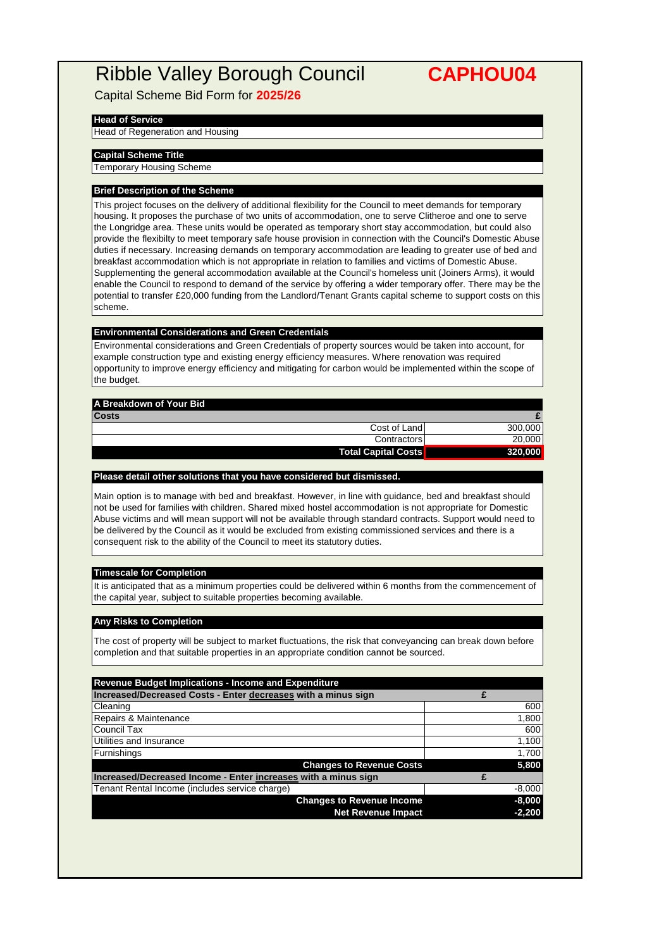Capital Scheme Bid Form for **2025/26**

#### **Head of Service**

Head of Regeneration and Housing

### **Capital Scheme Title**

Temporary Housing Scheme

#### **Brief Description of the Scheme**

This project focuses on the delivery of additional flexibility for the Council to meet demands for temporary housing. It proposes the purchase of two units of accommodation, one to serve Clitheroe and one to serve the Longridge area. These units would be operated as temporary short stay accommodation, but could also provide the flexibilty to meet temporary safe house provision in connection with the Council's Domestic Abuse duties if necessary. Increasing demands on temporary accommodation are leading to greater use of bed and breakfast accommodation which is not appropriate in relation to families and victims of Domestic Abuse. Supplementing the general accommodation available at the Council's homeless unit (Joiners Arms), it would enable the Council to respond to demand of the service by offering a wider temporary offer. There may be the potential to transfer £20,000 funding from the Landlord/Tenant Grants capital scheme to support costs on this scheme.

#### **Environmental Considerations and Green Credentials**

Environmental considerations and Green Credentials of property sources would be taken into account, for example construction type and existing energy efficiency measures. Where renovation was required opportunity to improve energy efficiency and mitigating for carbon would be implemented within the scope of the budget.

| A Breakdown of Your Bid    |         |
|----------------------------|---------|
| <b>Costs</b>               |         |
| Cost of Land               | 300,000 |
| Contractors                | 20,000  |
| <b>Total Capital Costs</b> | 320,000 |
|                            |         |

#### **Please detail other solutions that you have considered but dismissed.**

Main option is to manage with bed and breakfast. However, in line with guidance, bed and breakfast should not be used for families with children. Shared mixed hostel accommodation is not appropriate for Domestic Abuse victims and will mean support will not be available through standard contracts. Support would need to be delivered by the Council as it would be excluded from existing commissioned services and there is a consequent risk to the ability of the Council to meet its statutory duties.

#### **Timescale for Completion**

It is anticipated that as a minimum properties could be delivered within 6 months from the commencement of the capital year, subject to suitable properties becoming available.

#### **Any Risks to Completion**

The cost of property will be subject to market fluctuations, the risk that conveyancing can break down before completion and that suitable properties in an appropriate condition cannot be sourced.

| Revenue Budget Implications - Income and Expenditure           |          |
|----------------------------------------------------------------|----------|
| Increased/Decreased Costs - Enter decreases with a minus sign  |          |
| Cleaning                                                       | 600      |
| Repairs & Maintenance                                          | 1,800    |
| Council Tax                                                    | 600      |
| Utilities and Insurance                                        | 1,100    |
| Furnishings                                                    | 1,700    |
| <b>Changes to Revenue Costs</b>                                | 5,800    |
| Increased/Decreased Income - Enter increases with a minus sign |          |
| Tenant Rental Income (includes service charge)                 | $-8,000$ |
| <b>Changes to Revenue Income</b>                               | $-8,000$ |
| <b>Net Revenue Impact</b>                                      | $-2,200$ |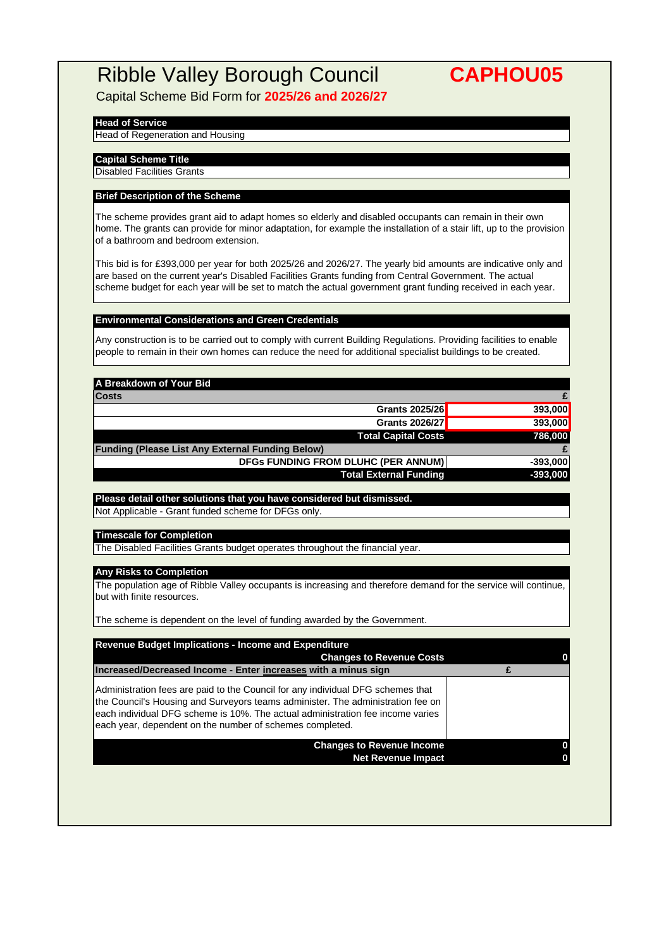Capital Scheme Bid Form for **2025/26 and 2026/27**

#### **Head of Service**

Head of Regeneration and Housing

**Capital Scheme Title**

Disabled Facilities Grants

#### **Brief Description of the Scheme**

The scheme provides grant aid to adapt homes so elderly and disabled occupants can remain in their own home. The grants can provide for minor adaptation, for example the installation of a stair lift, up to the provision of a bathroom and bedroom extension.

This bid is for £393,000 per year for both 2025/26 and 2026/27. The yearly bid amounts are indicative only and are based on the current year's Disabled Facilities Grants funding from Central Government. The actual scheme budget for each year will be set to match the actual government grant funding received in each year.

#### **Environmental Considerations and Green Credentials**

Any construction is to be carried out to comply with current Building Regulations. Providing facilities to enable people to remain in their own homes can reduce the need for additional specialist buildings to be created.

| A Breakdown of Your Bid                                 |            |
|---------------------------------------------------------|------------|
| <b>Costs</b>                                            |            |
| Grants 2025/26                                          | 393,000    |
| Grants 2026/27                                          | 393,000    |
| <b>Total Capital Costs</b>                              | 786,000    |
| <b>Funding (Please List Any External Funding Below)</b> |            |
| <b>DFGs FUNDING FROM DLUHC (PER ANNUM)</b>              | $-393.000$ |
| <b>Total External Funding</b>                           | $-393,000$ |

**Please detail other solutions that you have considered but dismissed.** Not Applicable - Grant funded scheme for DFGs only.

#### **Timescale for Completion**

The Disabled Facilities Grants budget operates throughout the financial year.

#### **Any Risks to Completion**

The population age of Ribble Valley occupants is increasing and therefore demand for the service will continue, but with finite resources.

The scheme is dependent on the level of funding awarded by the Government.

| <b>Changes to Revenue Costs</b>                                                                                                                                                                                                                                                                                   |  |
|-------------------------------------------------------------------------------------------------------------------------------------------------------------------------------------------------------------------------------------------------------------------------------------------------------------------|--|
| Increased/Decreased Income - Enter increases with a minus sign                                                                                                                                                                                                                                                    |  |
| Administration fees are paid to the Council for any individual DFG schemes that<br>the Council's Housing and Surveyors teams administer. The administration fee on<br>Jeach individual DFG scheme is 10%. The actual administration fee income varies<br>each year, dependent on the number of schemes completed. |  |
| <b>Changes to Revenue Income</b><br><b>Net Revenue Impact</b>                                                                                                                                                                                                                                                     |  |